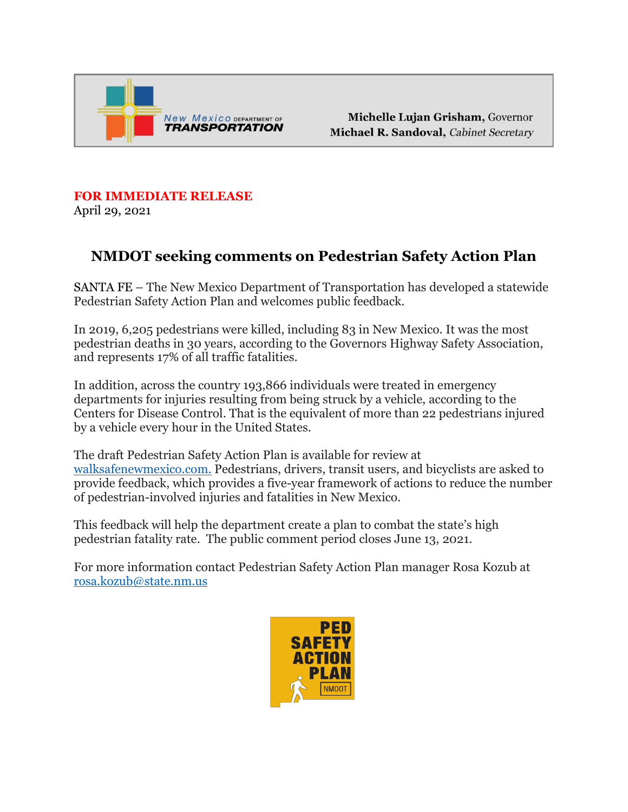

Michelle Lujan Grisham, Governor Michael R. Sandoval, Cabinet Secretary

**FOR IMMEDIATE RELEASE**  April 29, 2021

## **NMDOT seeking comments on Pedestrian Safety Action Plan**

SANTA FE – The New Mexico Department of Transportation has developed a statewide Pedestrian Safety Action Plan and welcomes public feedback.

In 2019, 6,205 pedestrians were killed, including 83 in New Mexico. It was the most pedestrian deaths in 30 years, according to the Governors Highway Safety Association, and represents 17% of all traffic fatalities.

In addition, across the country 193,866 individuals were treated in emergency departments for injuries resulting from being struck by a vehicle, according to the Centers for Disease Control. That is the equivalent of more than 22 pedestrians injured by a vehicle every hour in the United States.

The draft Pedestrian Safety Action Plan is available for review at [walksafenewmexico.com.](http://www.walksafenewmexico.com/) Pedestrians, drivers, transit users, and bicyclists are asked to provide feedback, which provides a five-year framework of actions to reduce the number of pedestrian-involved injuries and fatalities in New Mexico.

This feedback will help the department create a plan to combat the state's high pedestrian fatality rate. The public comment period closes June 13, 2021.

For more information contact Pedestrian Safety Action Plan manager Rosa Kozub at [rosa.kozub@state.nm.us](mailto:rosa.kozub@state.nm.us)